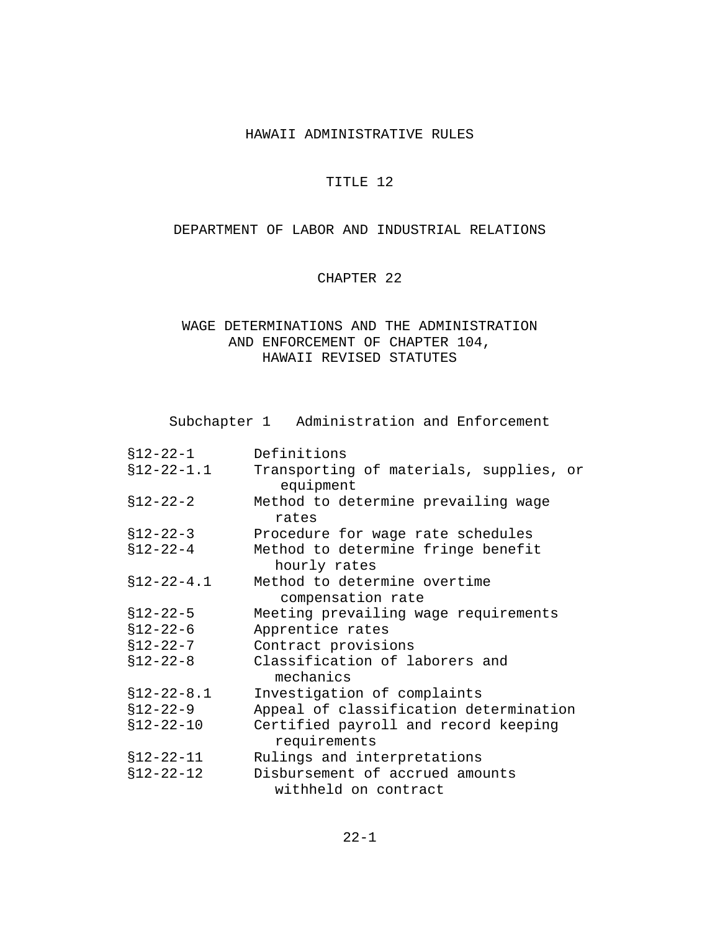#### HAWAII ADMINISTRATIVE RULES

### TITLE 12

### DEPARTMENT OF LABOR AND INDUSTRIAL RELATIONS

### CHAPTER 22

## WAGE DETERMINATIONS AND THE ADMINISTRATION AND ENFORCEMENT OF CHAPTER 104, HAWAII REVISED STATUTES

Subchapter 1 Administration and Enforcement

| $$12-22-1$       | Definitions                                          |
|------------------|------------------------------------------------------|
| $$12 - 22 - 1.1$ | Transporting of materials, supplies, or<br>equipment |
| $$12-22-2$       | Method to determine prevailing wage<br>rates         |
| $$12 - 22 - 3$   | Procedure for wage rate schedules                    |
| $$12 - 22 - 4$   | Method to determine fringe benefit<br>hourly rates   |
| $$12 - 22 - 4.1$ | Method to determine overtime<br>compensation rate    |
| $$12 - 22 - 5$   | Meeting prevailing wage requirements                 |
| $$12 - 22 - 6$   | Apprentice rates                                     |
| $$12 - 22 - 7$   | Contract provisions                                  |
| $$12 - 22 - 8$   | Classification of laborers and<br>mechanics          |
| $$12 - 22 - 8.1$ | Investigation of complaints                          |
| $$12-22-9$       | Appeal of classification determination               |
| $$12 - 22 - 10$  | Certified payroll and record keeping<br>requirements |
| $$12 - 22 - 11$  | Rulings and interpretations                          |
| $$12 - 22 - 12$  | Disbursement of accrued amounts                      |
|                  | withheld on contract                                 |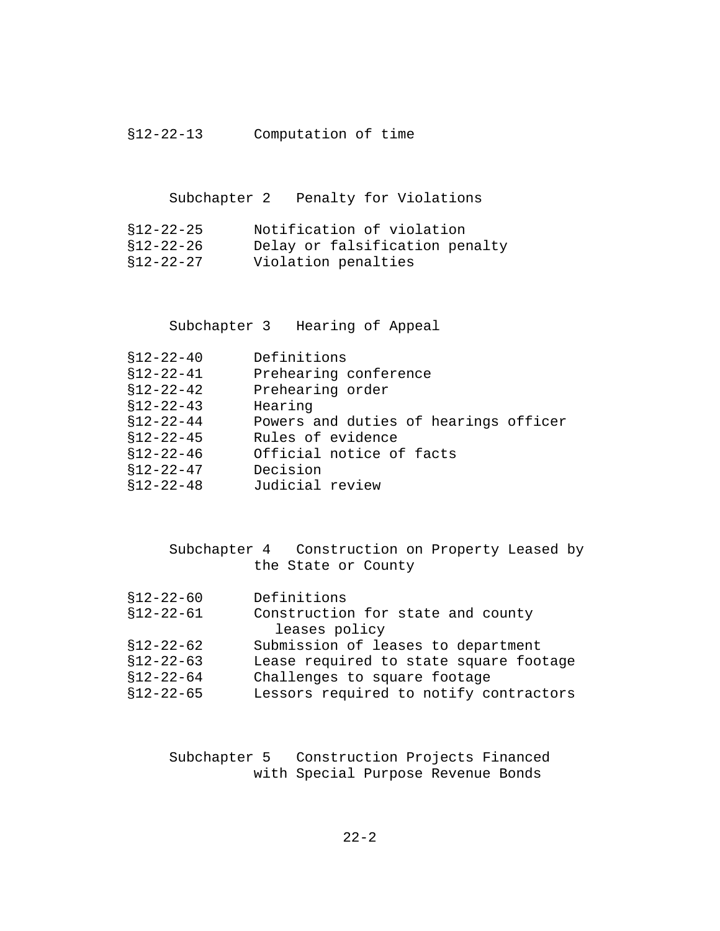## §12-22-13 Computation of time

Subchapter 2 Penalty for Violations

| \$12-22-25 | Notification of violation      |
|------------|--------------------------------|
| s12-22-26  | Delay or falsification penalty |
| \$12-22-27 | Violation penalties            |

Subchapter 3 Hearing of Appeal

| $$12 - 22 - 40$ | Definitions                           |
|-----------------|---------------------------------------|
| $$12 - 22 - 41$ | Prehearing conference                 |
| $$12 - 22 - 42$ | Prehearing order                      |
| $$12 - 22 - 43$ | Hearing                               |
| $$12-22-44$     | Powers and duties of hearings officer |
| $$12 - 22 - 45$ | Rules of evidence                     |
| $$12 - 22 - 46$ | Official notice of facts              |
| $$12 - 22 - 47$ | Decision                              |
| $$12 - 22 - 48$ | Judicial review                       |

|                     | Subchapter 4 Construction on Property Leased by |
|---------------------|-------------------------------------------------|
| the State or County |                                                 |

| Definitions                            |
|----------------------------------------|
| Construction for state and county      |
| leases policy                          |
| Submission of leases to department     |
| Lease required to state square footage |
|                                        |

| \$12-22-64 | Challenges to square footage |  |  |  |  |
|------------|------------------------------|--|--|--|--|
|------------|------------------------------|--|--|--|--|

§12-22-65 Lessors required to notify contractors

Subchapter 5 Construction Projects Financed with Special Purpose Revenue Bonds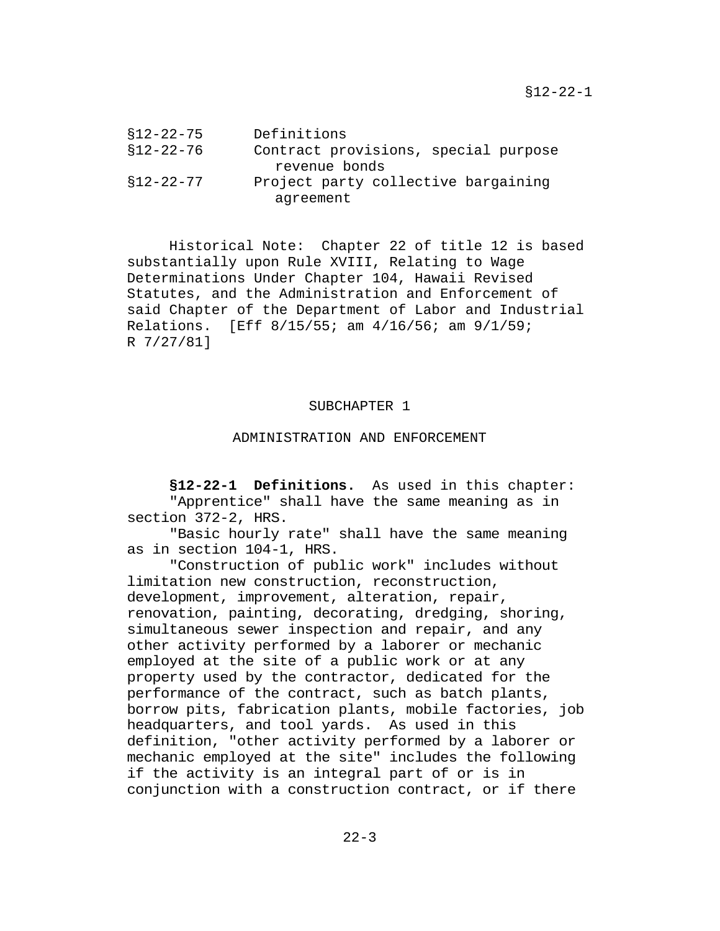§12-22-1

| §12-22-75 | Definitions                          |
|-----------|--------------------------------------|
| §12-22-76 | Contract provisions, special purpose |
|           | revenue bonds                        |
| s12-22-77 | Project party collective bargaining  |
|           | aqreement                            |

Historical Note: Chapter 22 of title 12 is based substantially upon Rule XVIII, Relating to Wage Determinations Under Chapter 104, Hawaii Revised Statutes, and the Administration and Enforcement of said Chapter of the Department of Labor and Industrial Relations. [Eff 8/15/55; am 4/16/56; am 9/1/59; R 7/27/81]

### SUBCHAPTER 1

### ADMINISTRATION AND ENFORCEMENT

**§12-22-1 Definitions.** As used in this chapter: "Apprentice" shall have the same meaning as in section 372-2, HRS.

"Basic hourly rate" shall have the same meaning as in section 104-1, HRS.

"Construction of public work" includes without limitation new construction, reconstruction, development, improvement, alteration, repair, renovation, painting, decorating, dredging, shoring, simultaneous sewer inspection and repair, and any other activity performed by a laborer or mechanic employed at the site of a public work or at any property used by the contractor, dedicated for the performance of the contract, such as batch plants, borrow pits, fabrication plants, mobile factories, job headquarters, and tool yards. As used in this definition, "other activity performed by a laborer or mechanic employed at the site" includes the following if the activity is an integral part of or is in conjunction with a construction contract, or if there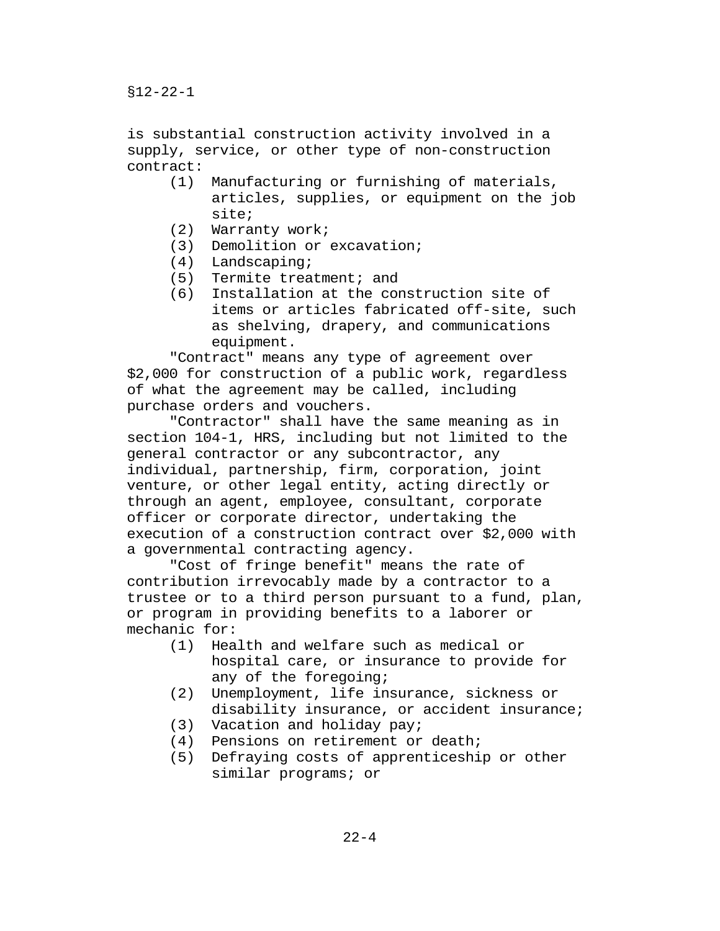is substantial construction activity involved in a supply, service, or other type of non-construction contract:

- (1) Manufacturing or furnishing of materials, articles, supplies, or equipment on the job site;
- (2) Warranty work;
- (3) Demolition or excavation;
- (4) Landscaping;
- (5) Termite treatment; and
- (6) Installation at the construction site of items or articles fabricated off-site, such as shelving, drapery, and communications equipment.

"Contract" means any type of agreement over \$2,000 for construction of a public work, regardless of what the agreement may be called, including purchase orders and vouchers.

"Contractor" shall have the same meaning as in section 104-1, HRS, including but not limited to the general contractor or any subcontractor, any individual, partnership, firm, corporation, joint venture, or other legal entity, acting directly or through an agent, employee, consultant, corporate officer or corporate director, undertaking the execution of a construction contract over \$2,000 with a governmental contracting agency.

"Cost of fringe benefit" means the rate of contribution irrevocably made by a contractor to a trustee or to a third person pursuant to a fund, plan, or program in providing benefits to a laborer or mechanic for:<br> $(1)$  Hea

- Health and welfare such as medical or hospital care, or insurance to provide for any of the foregoing;
- (2) Unemployment, life insurance, sickness or disability insurance, or accident insurance;
- (3) Vacation and holiday pay;
- 
- (4) Pensions on retirement or death;<br>(5) Defraying costs of apprenticeshi Defraying costs of apprenticeship or other similar programs; or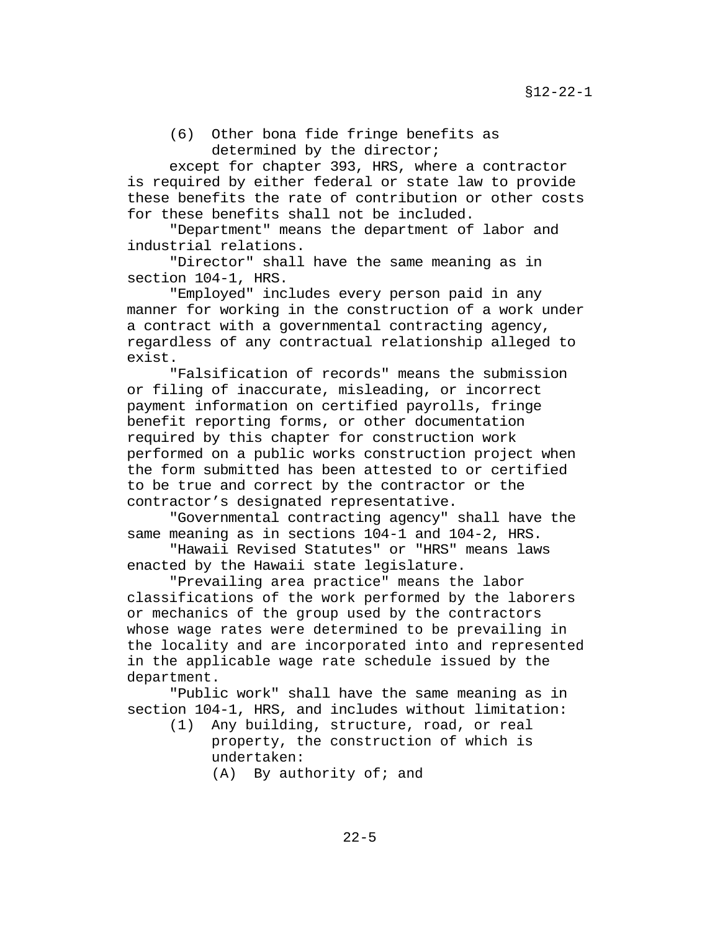(6) Other bona fide fringe benefits as determined by the director;

except for chapter 393, HRS, where a contractor is required by either federal or state law to provide these benefits the rate of contribution or other costs for these benefits shall not be included.

"Department" means the department of labor and industrial relations.

"Director" shall have the same meaning as in section 104-1, HRS.

"Employed" includes every person paid in any manner for working in the construction of a work under a contract with a governmental contracting agency, regardless of any contractual relationship alleged to exist.

"Falsification of records" means the submission or filing of inaccurate, misleading, or incorrect payment information on certified payrolls, fringe benefit reporting forms, or other documentation required by this chapter for construction work performed on a public works construction project when the form submitted has been attested to or certified to be true and correct by the contractor or the contractor's designated representative.

"Governmental contracting agency" shall have the same meaning as in sections 104-1 and 104-2, HRS.

"Hawaii Revised Statutes" or "HRS" means laws enacted by the Hawaii state legislature.

"Prevailing area practice" means the labor classifications of the work performed by the laborers or mechanics of the group used by the contractors whose wage rates were determined to be prevailing in the locality and are incorporated into and represented in the applicable wage rate schedule issued by the department.

"Public work" shall have the same meaning as in section 104-1, HRS, and includes without limitation:

- (1) Any building, structure, road, or real property, the construction of which is undertaken:
	- $(A)$  By authority of; and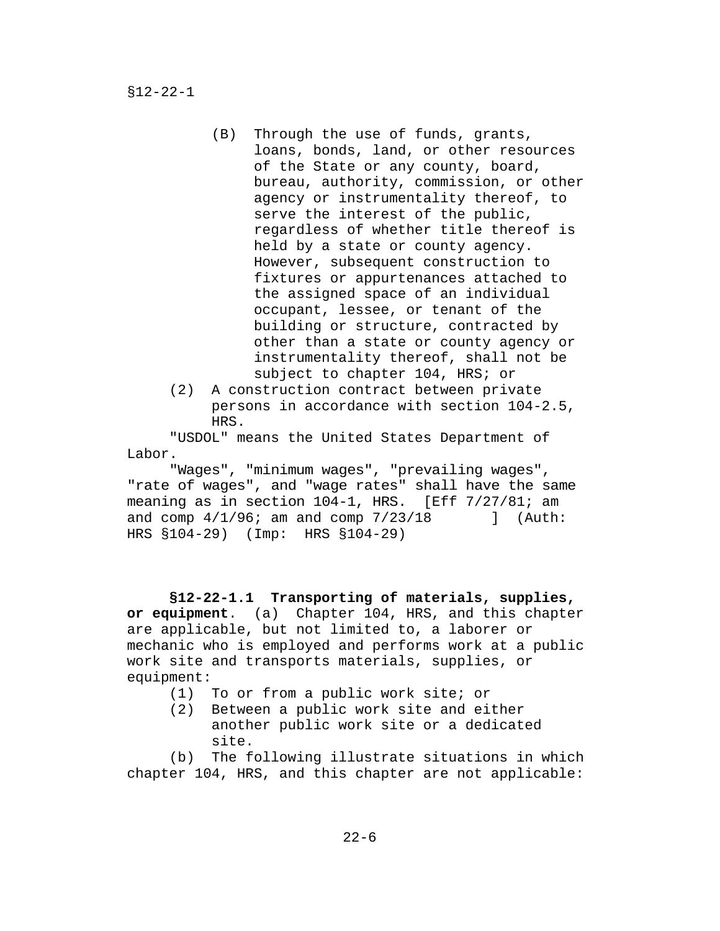- (B) Through the use of funds, grants, loans, bonds, land, or other resources of the State or any county, board, bureau, authority, commission, or other agency or instrumentality thereof, to serve the interest of the public, regardless of whether title thereof is held by a state or county agency. However, subsequent construction to fixtures or appurtenances attached to the assigned space of an individual occupant, lessee, or tenant of the building or structure, contracted by other than a state or county agency or instrumentality thereof, shall not be subject to chapter 104, HRS; or
- (2) A construction contract between private persons in accordance with section 104-2.5, HRS.

"USDOL" means the United States Department of Labor.

"Wages", "minimum wages", "prevailing wages", "rate of wages", and "wage rates" shall have the same meaning as in section 104-1, HRS. [Eff 7/27/81; am and comp  $4/1/96$ ; am and comp  $7/23/18$  ] (Auth: HRS §104-29) (Imp: HRS §104-29)

**§12-22-1.1 Transporting of materials, supplies, or equipment**. (a) Chapter 104, HRS, and this chapter are applicable, but not limited to, a laborer or mechanic who is employed and performs work at a public work site and transports materials, supplies, or equipment:

- (1) To or from a public work site; or<br>(2) Between a public work site and ei
- Between a public work site and either another public work site or a dedicated site.

(b) The following illustrate situations in which chapter 104, HRS, and this chapter are not applicable: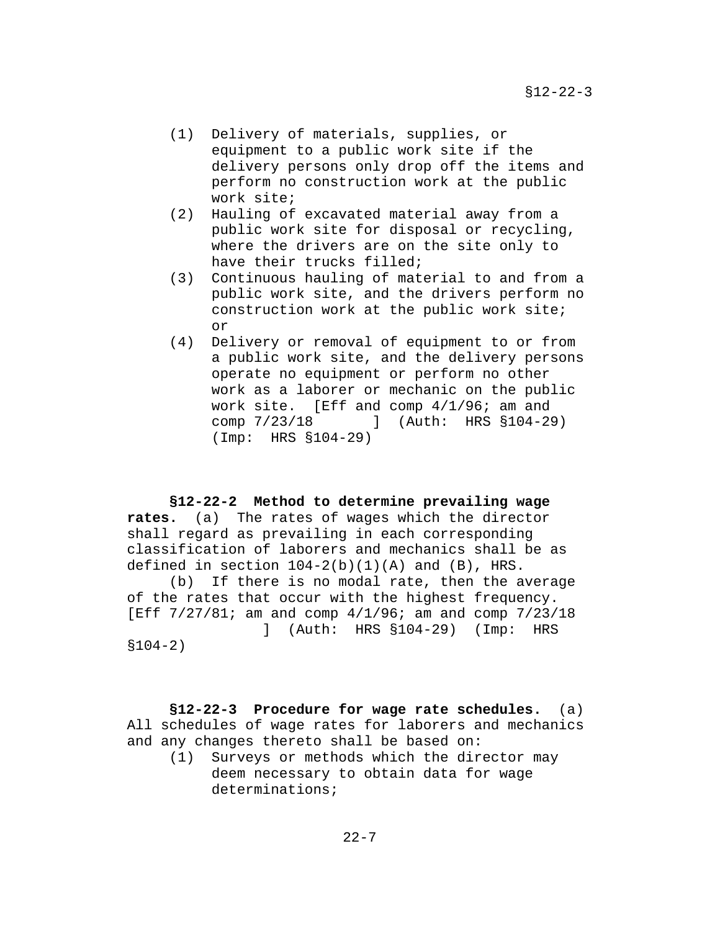- (1) Delivery of materials, supplies, or equipment to a public work site if the delivery persons only drop off the items and perform no construction work at the public work site;
- (2) Hauling of excavated material away from a public work site for disposal or recycling, where the drivers are on the site only to have their trucks filled;
- (3) Continuous hauling of material to and from a public work site, and the drivers perform no construction work at the public work site; or
- (4) Delivery or removal of equipment to or from a public work site, and the delivery persons operate no equipment or perform no other work as a laborer or mechanic on the public work site. [Eff and comp 4/1/96; am and comp 7/23/18 ] (Auth: HRS §104-29) (Imp: HRS §104-29)

### **§12-22-2 Method to determine prevailing wage**

**rates.** (a) The rates of wages which the director shall regard as prevailing in each corresponding classification of laborers and mechanics shall be as defined in section  $104-2(b)(1)(A)$  and  $(B)$ , HRS.<br>(b) If there is no modal rate, then the a

If there is no modal rate, then the average of the rates that occur with the highest frequency. [Eff 7/27/81; am and comp 4/1/96; am and comp 7/23/18 ] (Auth: HRS §104-29) (Imp: HRS

§104-2)

**§12-22-3 Procedure for wage rate schedules.** (a) All schedules of wage rates for laborers and mechanics and any changes thereto shall be based on:

(1) Surveys or methods which the director may deem necessary to obtain data for wage determinations;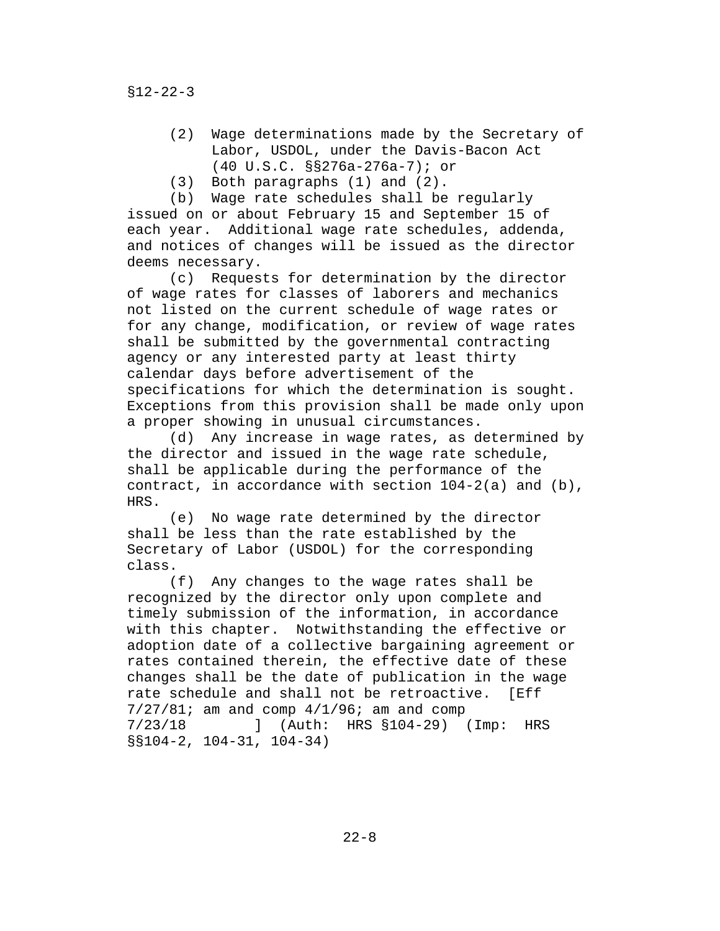- (2) Wage determinations made by the Secretary of Labor, USDOL, under the Davis-Bacon Act (40 U.S.C. §§276a-276a-7); or
- (3) Both paragraphs (1) and (2).

(b) Wage rate schedules shall be regularly issued on or about February 15 and September 15 of each year. Additional wage rate schedules, addenda, and notices of changes will be issued as the director deems necessary.<br>c) Reques

Requests for determination by the director of wage rates for classes of laborers and mechanics not listed on the current schedule of wage rates or for any change, modification, or review of wage rates shall be submitted by the governmental contracting agency or any interested party at least thirty calendar days before advertisement of the specifications for which the determination is sought. Exceptions from this provision shall be made only upon a proper showing in unusual circumstances.

(d) Any increase in wage rates, as determined by the director and issued in the wage rate schedule, shall be applicable during the performance of the contract, in accordance with section 104-2(a) and (b), HRS.

(e) No wage rate determined by the director shall be less than the rate established by the Secretary of Labor (USDOL) for the corresponding class.<br>(f)

Any changes to the wage rates shall be recognized by the director only upon complete and timely submission of the information, in accordance with this chapter. Notwithstanding the effective or adoption date of a collective bargaining agreement or rates contained therein, the effective date of these changes shall be the date of publication in the wage rate schedule and shall not be retroactive. [Eff  $7/27/81$ ; am and comp  $4/1/96$ ; am and comp  $7/23/18$  [ Auth: HRS  $$104-29$  ] 7/23/18 ] (Auth: HRS §104-29) (Imp: HRS §§104-2, 104-31, 104-34)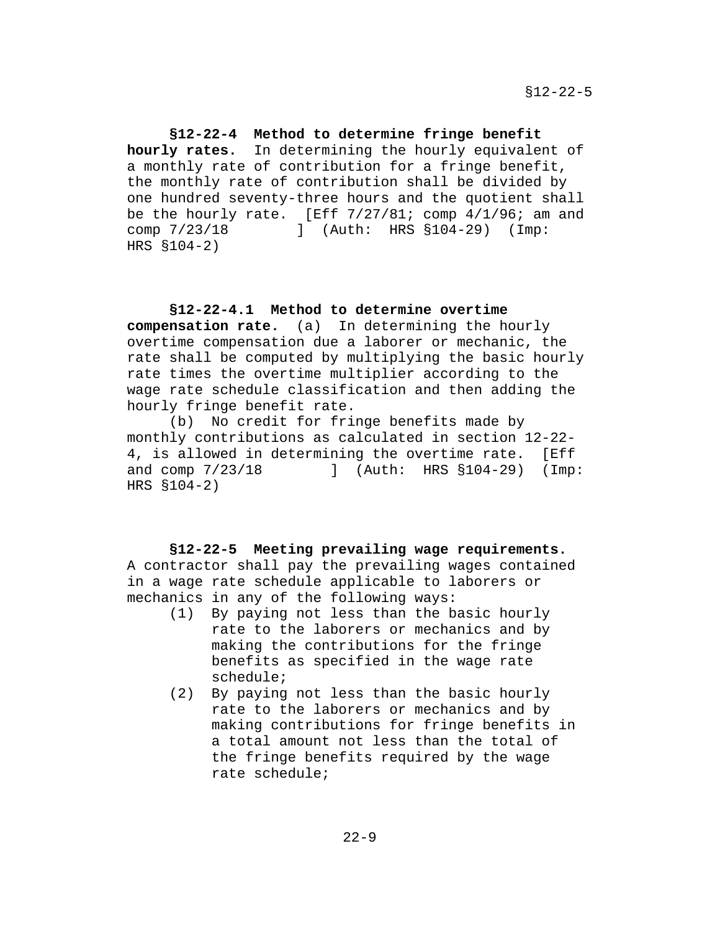**§12-22-4 Method to determine fringe benefit hourly rates.** In determining the hourly equivalent of a monthly rate of contribution for a fringe benefit, the monthly rate of contribution shall be divided by one hundred seventy-three hours and the quotient shall be the hourly rate. [Eff  $7/27/81$ ; comp  $4/1/96$ ; am and comp  $7/23/18$  ] (Auth: HRS  $\S104-29$ ) (Imp: comp 7/23/18 ] (Auth: HRS §104-29) (Imp: HRS §104-2)

### **§12-22-4.1 Method to determine overtime**

**compensation rate.** (a) In determining the hourly overtime compensation due a laborer or mechanic, the rate shall be computed by multiplying the basic hourly rate times the overtime multiplier according to the wage rate schedule classification and then adding the hourly fringe benefit rate.

(b) No credit for fringe benefits made by monthly contributions as calculated in section 12-22- 4, is allowed in determining the overtime rate. [Eff and comp 7/23/18 ] (Auth: HRS §104-29) (Imp and comp 7/23/18 ] (Auth: HRS §104-29) (Imp: HRS §104-2)

### **§12-22-5 Meeting prevailing wage requirements.**

A contractor shall pay the prevailing wages contained in a wage rate schedule applicable to laborers or mechanics in any of the following ways:

- (1) By paying not less than the basic hourly rate to the laborers or mechanics and by making the contributions for the fringe benefits as specified in the wage rate schedule;
- (2) By paying not less than the basic hourly rate to the laborers or mechanics and by making contributions for fringe benefits in a total amount not less than the total of the fringe benefits required by the wage rate schedule;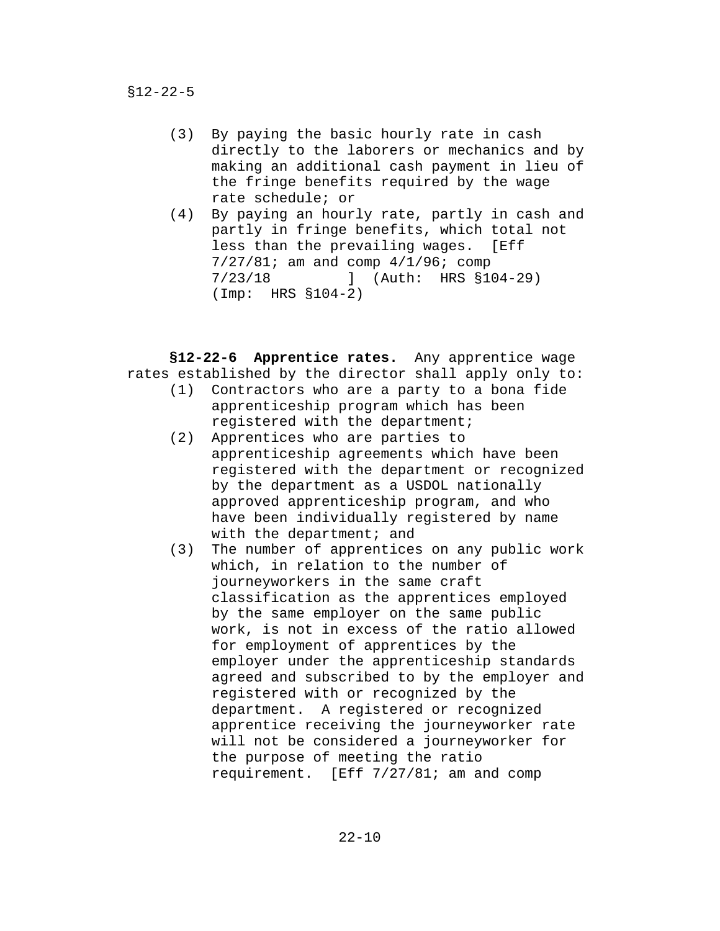- (3) By paying the basic hourly rate in cash directly to the laborers or mechanics and by making an additional cash payment in lieu of the fringe benefits required by the wage rate schedule; or
- (4) By paying an hourly rate, partly in cash and partly in fringe benefits, which total not less than the prevailing wages. [Eff 7/27/81; am and comp  $4/1/96$ ; comp<br>7/23/18 1 (Auth: HRS §1 7/23/18 ] (Auth: HRS §104-29) (Imp: HRS §104-2)

**§12-22-6 Apprentice rates.** Any apprentice wage rates established by the director shall apply only to:

- (1) Contractors who are a party to a bona fide apprenticeship program which has been registered with the department;
- (2) Apprentices who are parties to apprenticeship agreements which have been registered with the department or recognized by the department as a USDOL nationally approved apprenticeship program, and who have been individually registered by name with the department; and
- (3) The number of apprentices on any public work which, in relation to the number of journeyworkers in the same craft classification as the apprentices employed by the same employer on the same public work, is not in excess of the ratio allowed for employment of apprentices by the employer under the apprenticeship standards agreed and subscribed to by the employer and registered with or recognized by the department. A registered or recognized apprentice receiving the journeyworker rate will not be considered a journeyworker for the purpose of meeting the ratio requirement. [Eff 7/27/81; am and comp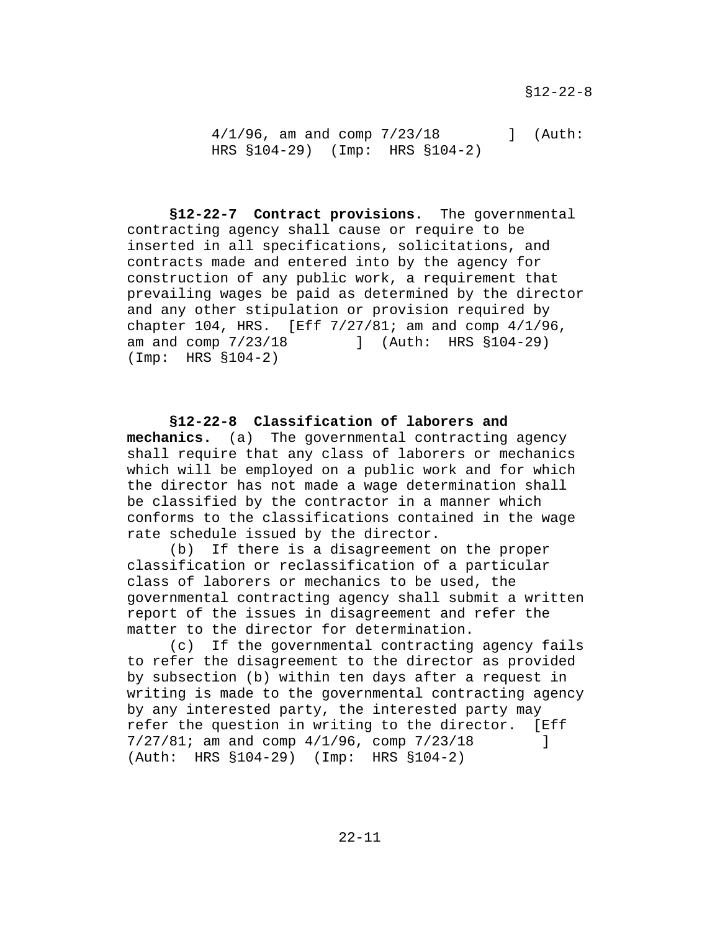4/1/96, am and comp 7/23/18 ] (Auth: HRS §104-29) (Imp: HRS §104-2)

**§12-22-7 Contract provisions.** The governmental contracting agency shall cause or require to be inserted in all specifications, solicitations, and contracts made and entered into by the agency for construction of any public work, a requirement that prevailing wages be paid as determined by the director and any other stipulation or provision required by chapter 104, HRS. [Eff  $7/27/81$ ; am and comp  $4/1/96$ , am and comp  $7/23/18$  ] (Auth: HRS  $$104-29$ ) ] (Auth: HRS §104-29) (Imp: HRS §104-2)

**§12-22-8 Classification of laborers and mechanics.** (a) The governmental contracting agency shall require that any class of laborers or mechanics which will be employed on a public work and for which the director has not made a wage determination shall be classified by the contractor in a manner which conforms to the classifications contained in the wage rate schedule issued by the director.

(b) If there is a disagreement on the proper classification or reclassification of a particular class of laborers or mechanics to be used, the governmental contracting agency shall submit a written report of the issues in disagreement and refer the matter to the director for determination.

(c) If the governmental contracting agency fails to refer the disagreement to the director as provided by subsection (b) within ten days after a request in writing is made to the governmental contracting agency by any interested party, the interested party may refer the question in writing to the director. [Eff 7/27/81; am and comp 4/1/96, comp 7/23/18 ] (Auth: HRS §104-29) (Imp: HRS §104-2)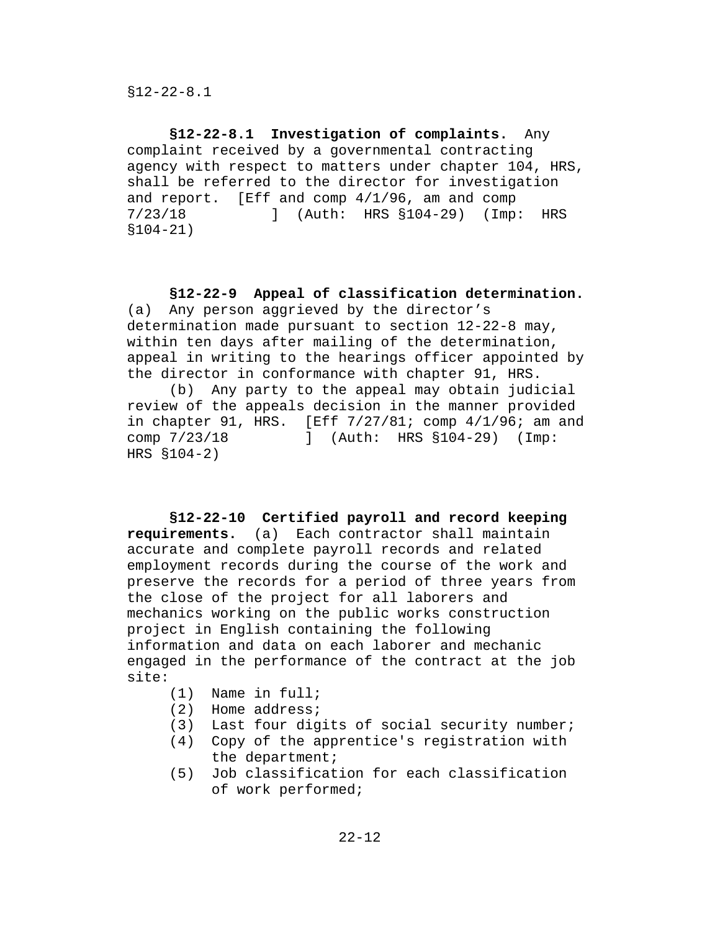**§12-22-8.1 Investigation of complaints.** Any complaint received by a governmental contracting agency with respect to matters under chapter 104, HRS, shall be referred to the director for investigation and report. [Eff and comp  $4/1/96$ , am and comp  $7/23/18$  [Imp ] (Auth: HRS  $$104-29$ ) (Imp 7/23/18 ] (Auth: HRS §104-29) (Imp: HRS §104-21)

## **§12-22-9 Appeal of classification determination.**

(a) Any person aggrieved by the director's determination made pursuant to section 12-22-8 may, within ten days after mailing of the determination, appeal in writing to the hearings officer appointed by the director in conformance with chapter 91, HRS.

(b) Any party to the appeal may obtain judicial review of the appeals decision in the manner provided in chapter 91, HRS. [Eff 7/27/81; comp 4/1/96; am and comp 7/23/18 ] (Auth: HRS §104-29) (Imp: HRS §104-2)

**§12-22-10 Certified payroll and record keeping requirements.** (a) Each contractor shall maintain Each contractor shall maintain accurate and complete payroll records and related employment records during the course of the work and preserve the records for a period of three years from the close of the project for all laborers and mechanics working on the public works construction project in English containing the following information and data on each laborer and mechanic engaged in the performance of the contract at the job site:

- (1) Name in full;
- (2) Home address;<br>(3) Last four dig
- Last four digits of social security number;
- (4) Copy of the apprentice's registration with the department;
- (5) Job classification for each classification of work performed;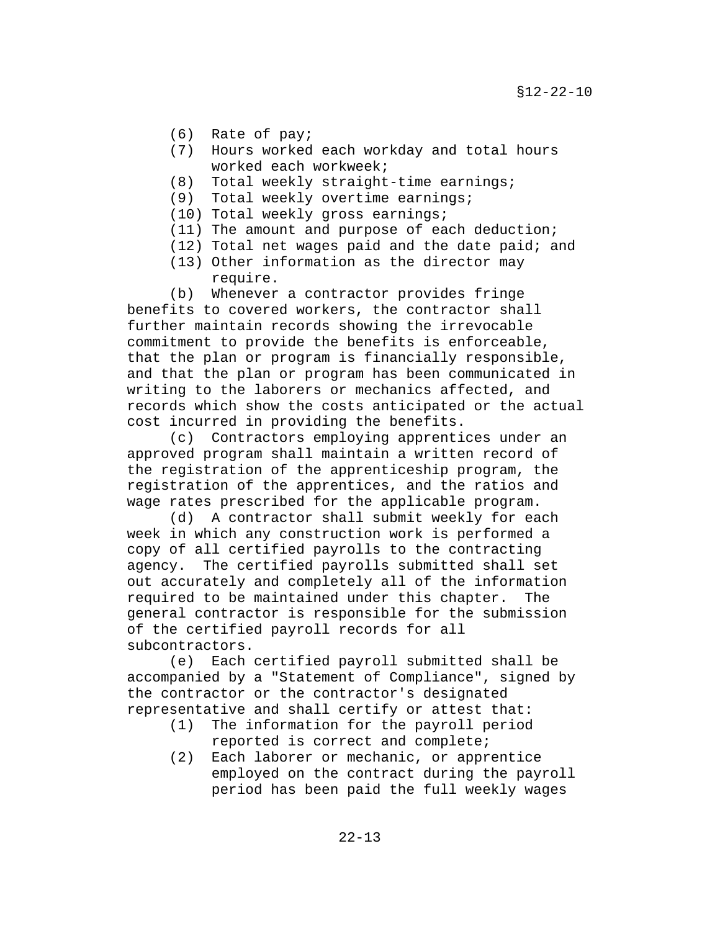- (6) Rate of pay;
- (7) Hours worked each workday and total hours worked each workweek;
- (8) Total weekly straight-time earnings;
- (9) Total weekly overtime earnings;
- (10) Total weekly gross earnings;
- (11) The amount and purpose of each deduction;
- (12) Total net wages paid and the date paid; and
- (13) Other information as the director may require.

(b) Whenever a contractor provides fringe benefits to covered workers, the contractor shall further maintain records showing the irrevocable commitment to provide the benefits is enforceable, that the plan or program is financially responsible, and that the plan or program has been communicated in writing to the laborers or mechanics affected, and records which show the costs anticipated or the actual cost incurred in providing the benefits.

(c) Contractors employing apprentices under an approved program shall maintain a written record of the registration of the apprenticeship program, the registration of the apprentices, and the ratios and wage rates prescribed for the applicable program.

(d) A contractor shall submit weekly for each week in which any construction work is performed a copy of all certified payrolls to the contracting agency. The certified payrolls submitted shall set out accurately and completely all of the information required to be maintained under this chapter. The general contractor is responsible for the submission of the certified payroll records for all subcontractors.

(e) Each certified payroll submitted shall be accompanied by a "Statement of Compliance", signed by the contractor or the contractor's designated representative and shall certify or attest that:

- (1) The information for the payroll period reported is correct and complete;
- (2) Each laborer or mechanic, or apprentice employed on the contract during the payroll period has been paid the full weekly wages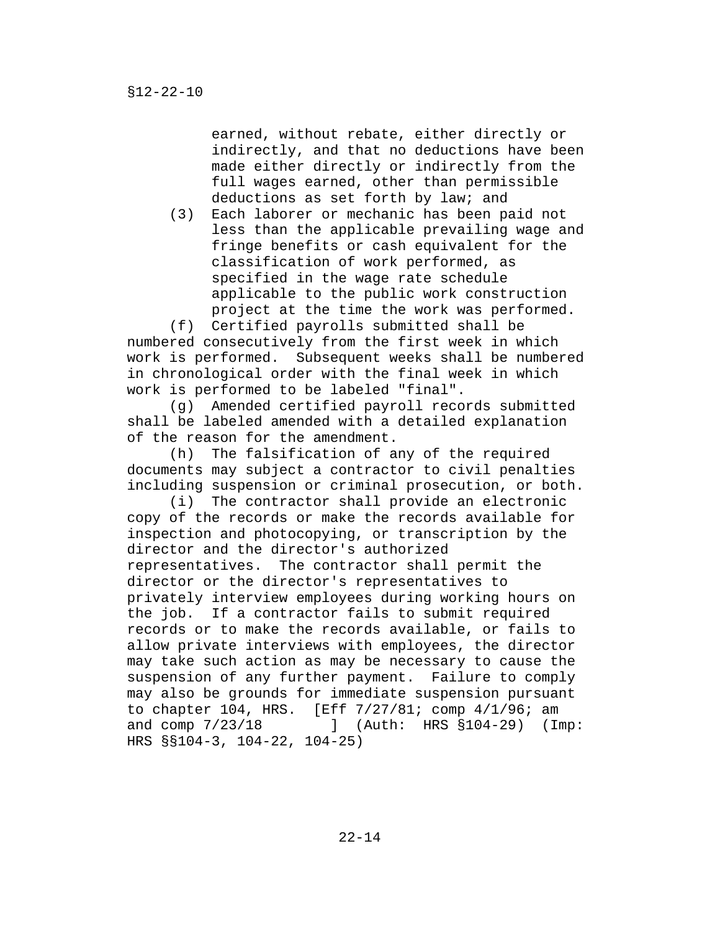earned, without rebate, either directly or indirectly, and that no deductions have been made either directly or indirectly from the full wages earned, other than permissible deductions as set forth by law; and

(3) Each laborer or mechanic has been paid not less than the applicable prevailing wage and fringe benefits or cash equivalent for the classification of work performed, as specified in the wage rate schedule applicable to the public work construction project at the time the work was performed.

(f) Certified payrolls submitted shall be numbered consecutively from the first week in which work is performed. Subsequent weeks shall be numbered in chronological order with the final week in which work is performed to be labeled "final".

(g) Amended certified payroll records submitted shall be labeled amended with a detailed explanation of the reason for the amendment.

(h) The falsification of any of the required documents may subject a contractor to civil penalties including suspension or criminal prosecution, or both.

(i) The contractor shall provide an electronic copy of the records or make the records available for inspection and photocopying, or transcription by the director and the director's authorized representatives. The contractor shall permit the director or the director's representatives to privately interview employees during working hours on the job. If a contractor fails to submit required records or to make the records available, or fails to allow private interviews with employees, the director may take such action as may be necessary to cause the suspension of any further payment. Failure to comply may also be grounds for immediate suspension pursuant to chapter 104, HRS. [Eff 7/27/81; comp 4/1/96; am<br>and comp 7/23/18 1 (Auth: HRS §104-29) (In 1 (Auth: HRS §104-29) (Imp: HRS §§104-3, 104-22, 104-25)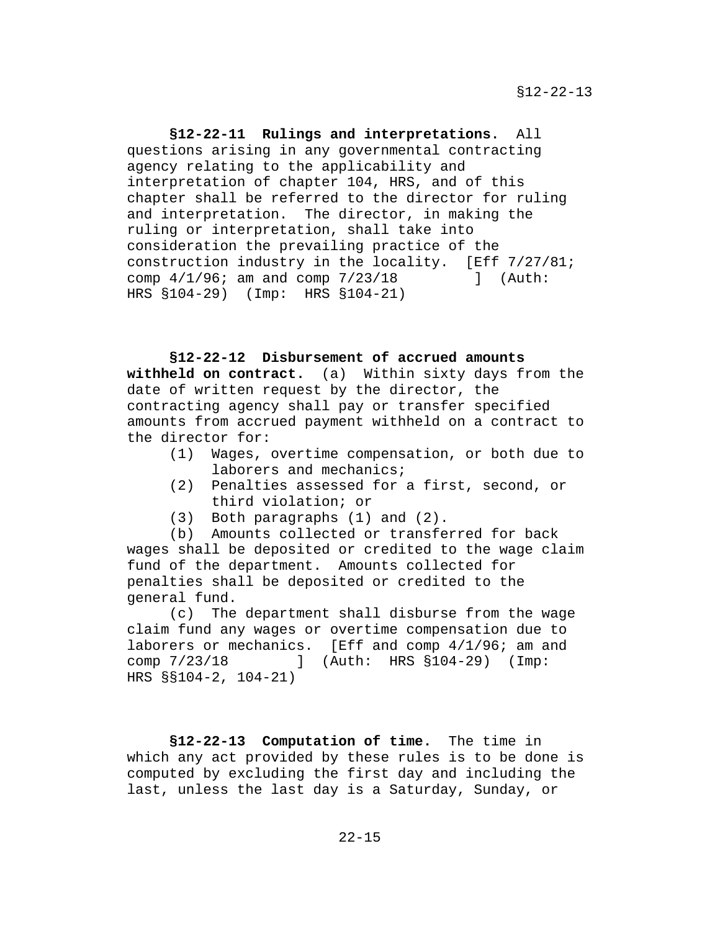**§12-22-11 Rulings and interpretations.** All questions arising in any governmental contracting agency relating to the applicability and interpretation of chapter 104, HRS, and of this chapter shall be referred to the director for ruling and interpretation. The director, in making the ruling or interpretation, shall take into consideration the prevailing practice of the construction industry in the locality. [Eff  $7/27/81$ ;<br>comp  $4/1/96$ ; am and comp  $7/23/18$  ] (Auth: comp  $4/1/96$ ; am and comp  $7/23/18$ HRS §104-29) (Imp: HRS §104-21)

## **§12-22-12 Disbursement of accrued amounts**

**withheld on contract.** (a) Within sixty days from the date of written request by the director, the contracting agency shall pay or transfer specified amounts from accrued payment withheld on a contract to the director for:

- (1) Wages, overtime compensation, or both due to laborers and mechanics;
- (2) Penalties assessed for a first, second, or third violation; or
- (3) Both paragraphs (1) and (2).

(b) Amounts collected or transferred for back wages shall be deposited or credited to the wage claim fund of the department. Amounts collected for penalties shall be deposited or credited to the general fund.

(c) The department shall disburse from the wage claim fund any wages or overtime compensation due to laborers or mechanics. [Eff and comp  $4/1/96$ ; am and comp  $7/23/18$  ] (Auth: HRS  $$104-29$ ) (Imp: ] (Auth: HRS §104-29) (Imp: HRS §§104-2, 104-21)

**§12-22-13 Computation of time.** The time in which any act provided by these rules is to be done is computed by excluding the first day and including the last, unless the last day is a Saturday, Sunday, or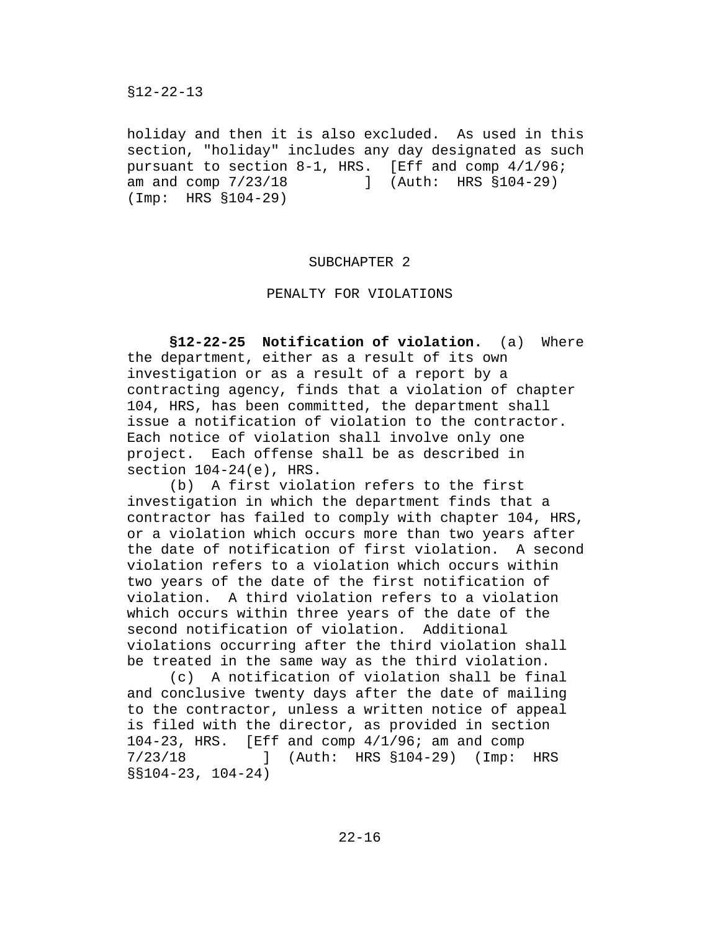holiday and then it is also excluded. As used in this section, "holiday" includes any day designated as such pursuant to section 8-1, HRS. [Eff and comp 4/1/96; am and comp  $7/23/18$  ] (Auth: HRS §104-29) (Imp: HRS §104-29)

#### SUBCHAPTER 2

#### PENALTY FOR VIOLATIONS

**§12-22-25 Notification of violation.** (a) Where the department, either as a result of its own investigation or as a result of a report by a contracting agency, finds that a violation of chapter 104, HRS, has been committed, the department shall issue a notification of violation to the contractor. Each notice of violation shall involve only one project. Each offense shall be as described in section 104-24(e), HRS.

(b) A first violation refers to the first investigation in which the department finds that a contractor has failed to comply with chapter 104, HRS, or a violation which occurs more than two years after the date of notification of first violation. A second violation refers to a violation which occurs within two years of the date of the first notification of violation. A third violation refers to a violation which occurs within three years of the date of the second notification of violation. Additional violations occurring after the third violation shall be treated in the same way as the third violation.

(c) A notification of violation shall be final and conclusive twenty days after the date of mailing to the contractor, unless a written notice of appeal is filed with the director, as provided in section 104-23, HRS. [Eff and comp 4/1/96; am and comp 7/23/18 ] (Auth: HRS §104-29) (Imp: HRS §§104-23, 104-24)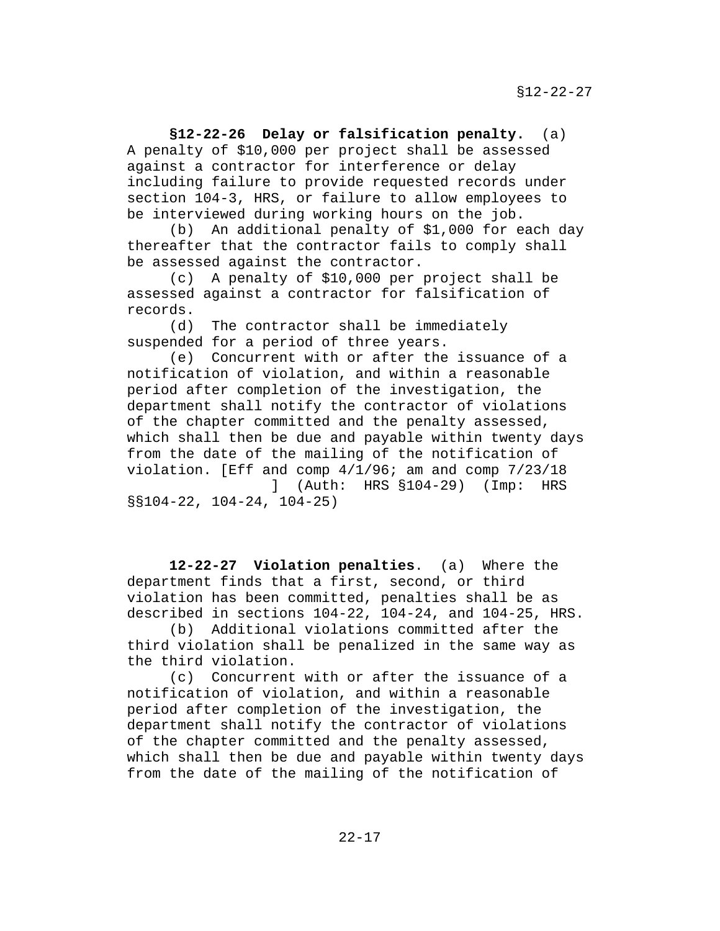**§12-22-26 Delay or falsification penalty.** (a) A penalty of \$10,000 per project shall be assessed against a contractor for interference or delay including failure to provide requested records under section 104-3, HRS, or failure to allow employees to be interviewed during working hours on the job.

(b) An additional penalty of \$1,000 for each day thereafter that the contractor fails to comply shall be assessed against the contractor.

(c) A penalty of \$10,000 per project shall be assessed against a contractor for falsification of records.

(d) The contractor shall be immediately suspended for a period of three years.

(e) Concurrent with or after the issuance of a notification of violation, and within a reasonable period after completion of the investigation, the department shall notify the contractor of violations of the chapter committed and the penalty assessed, which shall then be due and payable within twenty days from the date of the mailing of the notification of violation. [Eff and comp 4/1/96; am and comp 7/23/18 ] (Auth: HRS §104-29) (Imp: HRS

§§104-22, 104-24, 104-25)

**12-22-27 Violation penalties**. (a) Where the department finds that a first, second, or third violation has been committed, penalties shall be as described in sections 104-22, 104-24, and 104-25, HRS.

(b) Additional violations committed after the third violation shall be penalized in the same way as the third violation.

(c) Concurrent with or after the issuance of a notification of violation, and within a reasonable period after completion of the investigation, the department shall notify the contractor of violations of the chapter committed and the penalty assessed, which shall then be due and payable within twenty days from the date of the mailing of the notification of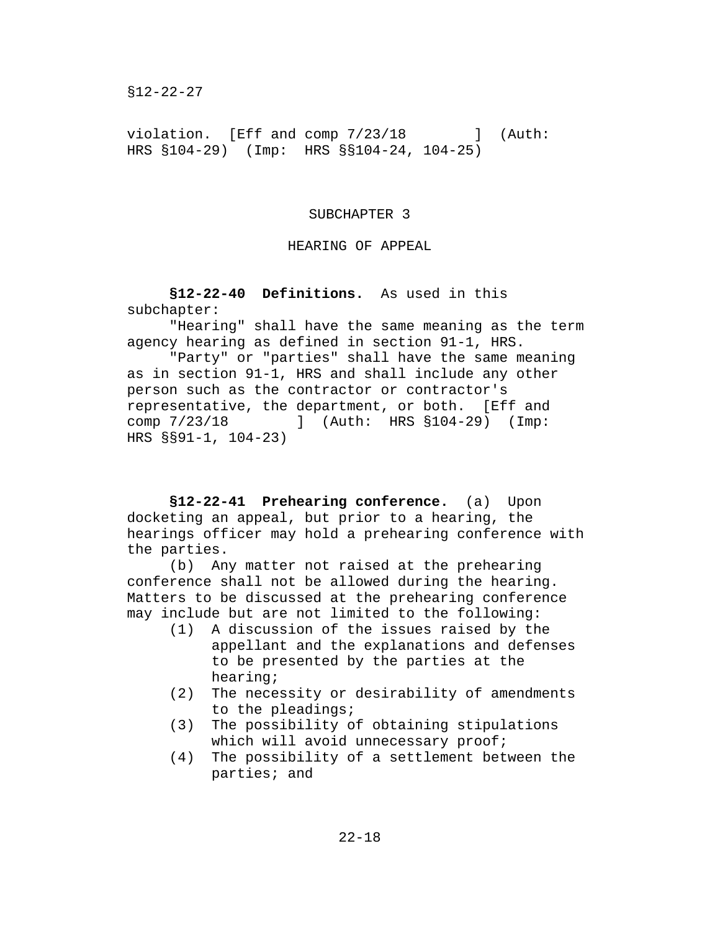§12-22-27

violation. [Eff and comp  $7/23/18$  ] (Auth: HRS §104-29) (Imp: HRS §§104-24, 104-25)

#### SUBCHAPTER 3

## HEARING OF APPEAL

**§12-22-40 Definitions.** As used in this subchapter:

"Hearing" shall have the same meaning as the term agency hearing as defined in section 91-1, HRS.

"Party" or "parties" shall have the same meaning as in section 91-1, HRS and shall include any other person such as the contractor or contractor's representative, the department, or both. [Eff and comp 7/23/18 ] (Auth: HRS §104-29) (Imp: HRS §§91-1, 104-23)

**§12-22-41 Prehearing conference.** (a) Upon docketing an appeal, but prior to a hearing, the hearings officer may hold a prehearing conference with the parties.

(b) Any matter not raised at the prehearing conference shall not be allowed during the hearing. Matters to be discussed at the prehearing conference may include but are not limited to the following:

- A discussion of the issues raised by the appellant and the explanations and defenses to be presented by the parties at the hearing;
- (2) The necessity or desirability of amendments to the pleadings;
- (3) The possibility of obtaining stipulations which will avoid unnecessary proof;
- (4) The possibility of a settlement between the parties; and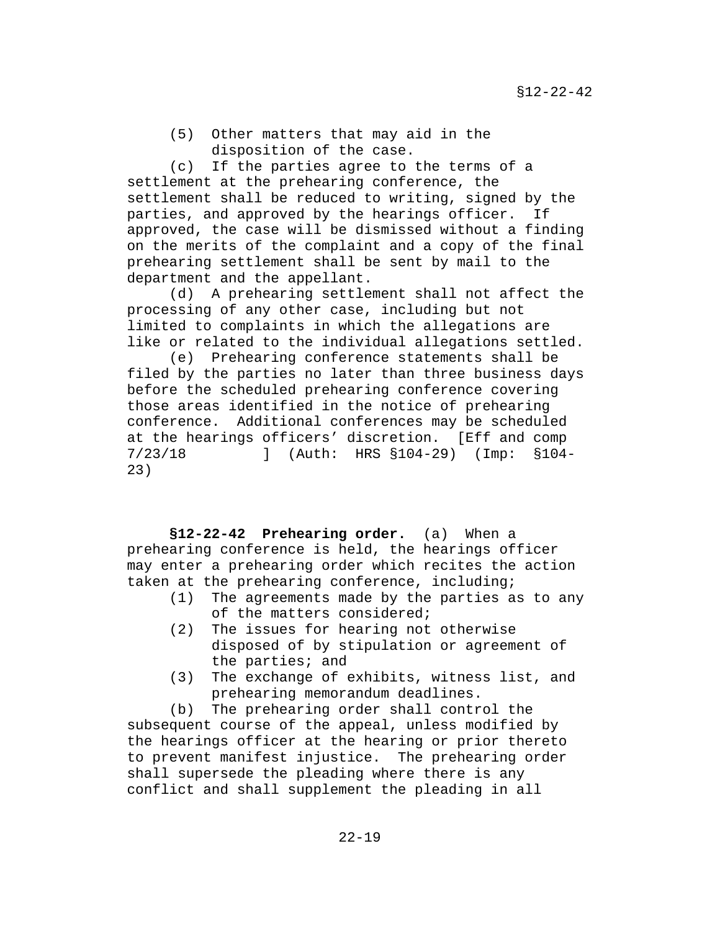(5) Other matters that may aid in the disposition of the case.

(c) If the parties agree to the terms of a settlement at the prehearing conference, the settlement shall be reduced to writing, signed by the parties, and approved by the hearings officer. If approved, the case will be dismissed without a finding on the merits of the complaint and a copy of the final prehearing settlement shall be sent by mail to the department and the appellant.

(d) A prehearing settlement shall not affect the processing of any other case, including but not limited to complaints in which the allegations are like or related to the individual allegations settled.

(e) Prehearing conference statements shall be filed by the parties no later than three business days before the scheduled prehearing conference covering those areas identified in the notice of prehearing conference. Additional conferences may be scheduled at the hearings officers' discretion. [Eff and comp 7/23/18 ] (Auth: HRS §104-29) (Imp: §104- 23)

**§12-22-42 Prehearing order.** (a) When a prehearing conference is held, the hearings officer may enter a prehearing order which recites the action taken at the prehearing conference, including;<br>(1) The agreements made by the parties a

- The agreements made by the parties as to any of the matters considered;
- (2) The issues for hearing not otherwise disposed of by stipulation or agreement of the parties; and
- (3) The exchange of exhibits, witness list, and prehearing memorandum deadlines.

(b) The prehearing order shall control the subsequent course of the appeal, unless modified by the hearings officer at the hearing or prior thereto to prevent manifest injustice. The prehearing order shall supersede the pleading where there is any conflict and shall supplement the pleading in all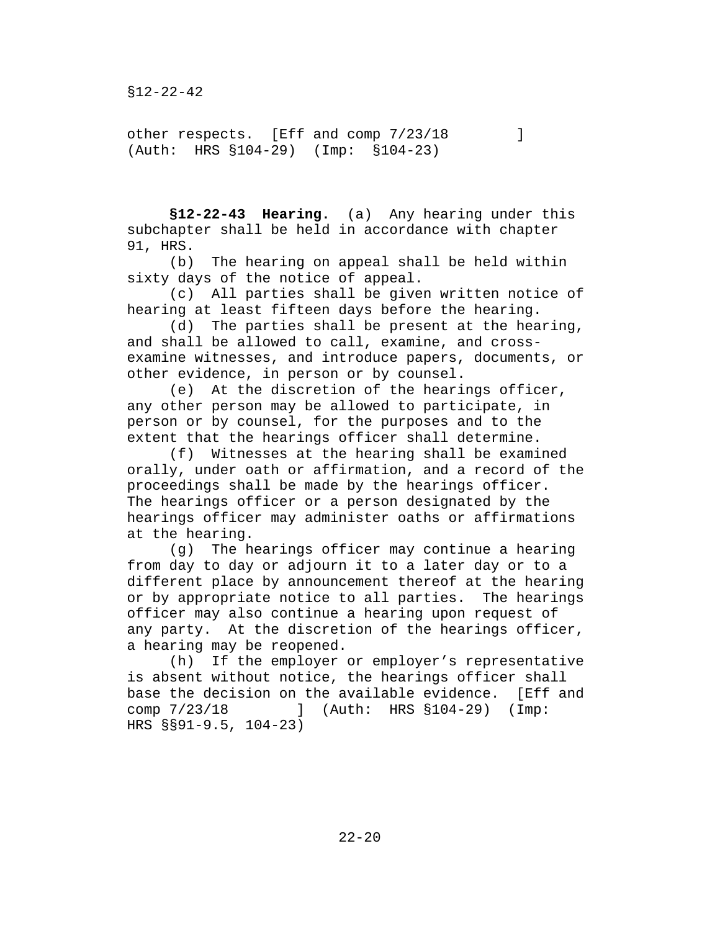other respects. [Eff and comp  $7/23/18$  ] (Auth: HRS §104-29) (Imp: §104-23)

**§12-22-43 Hearing.** (a) Any hearing under this subchapter shall be held in accordance with chapter 91, HRS.

(b) The hearing on appeal shall be held within sixty days of the notice of appeal.

(c) All parties shall be given written notice of hearing at least fifteen days before the hearing.

(d) The parties shall be present at the hearing, and shall be allowed to call, examine, and crossexamine witnesses, and introduce papers, documents, or other evidence, in person or by counsel.

(e) At the discretion of the hearings officer, any other person may be allowed to participate, in person or by counsel, for the purposes and to the extent that the hearings officer shall determine.

(f) Witnesses at the hearing shall be examined orally, under oath or affirmation, and a record of the proceedings shall be made by the hearings officer. The hearings officer or a person designated by the hearings officer may administer oaths or affirmations at the hearing.

(g) The hearings officer may continue a hearing from day to day or adjourn it to a later day or to a different place by announcement thereof at the hearing or by appropriate notice to all parties. The hearings officer may also continue a hearing upon request of any party. At the discretion of the hearings officer, a hearing may be reopened.

(h) If the employer or employer's representative is absent without notice, the hearings officer shall base the decision on the available evidence. [Eff and comp 7/23/18 ] (Auth: HRS §104-29) (Imp: J (Auth: HRS  $$104-29$ ) (Imp: HRS §§91-9.5, 104-23)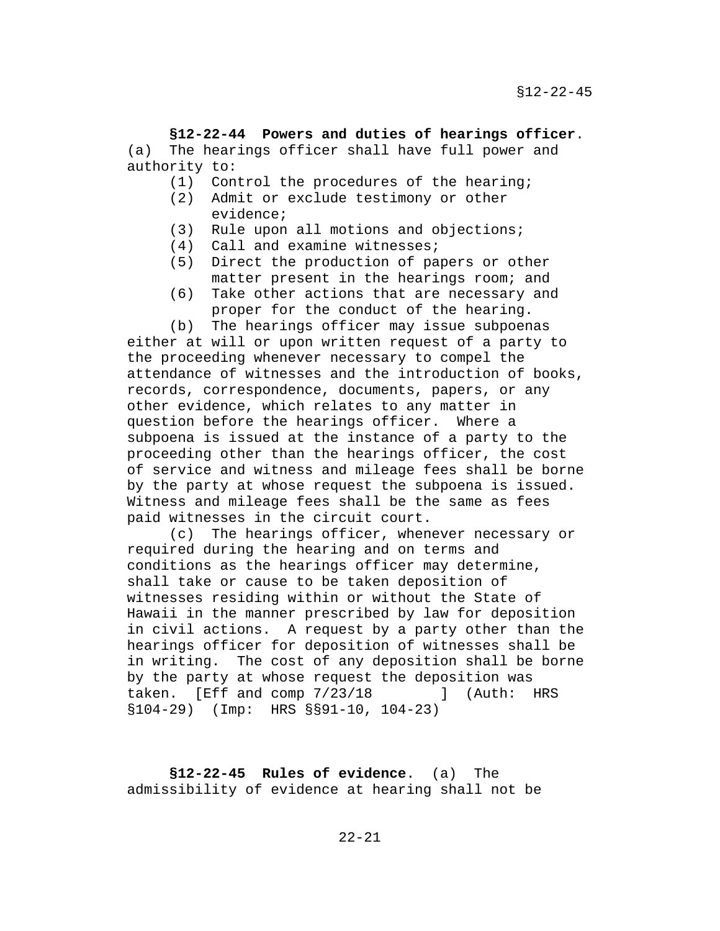**§12-22-44 Powers and duties of hearings officer**. (a) The hearings officer shall have full power and authority to:

- (1) Control the procedures of the hearing;<br>(2) Admit or exclude testimony or other
- Admit or exclude testimony or other evidence;
- (3) Rule upon all motions and objections;
- (4) Call and examine witnesses;
- (5) Direct the production of papers or other matter present in the hearings room; and
- (6) Take other actions that are necessary and proper for the conduct of the hearing.

(b) The hearings officer may issue subpoenas either at will or upon written request of a party to the proceeding whenever necessary to compel the attendance of witnesses and the introduction of books, records, correspondence, documents, papers, or any other evidence, which relates to any matter in question before the hearings officer. Where a subpoena is issued at the instance of a party to the proceeding other than the hearings officer, the cost of service and witness and mileage fees shall be borne by the party at whose request the subpoena is issued. Witness and mileage fees shall be the same as fees paid witnesses in the circuit court.

(c) The hearings officer, whenever necessary or required during the hearing and on terms and conditions as the hearings officer may determine, shall take or cause to be taken deposition of witnesses residing within or without the State of Hawaii in the manner prescribed by law for deposition in civil actions. A request by a party other than the hearings officer for deposition of witnesses shall be in writing. The cost of any deposition shall be borne by the party at whose request the deposition was taken. [Eff and comp  $7/23/18$  ] (Auth: HRS §104-29) (Imp: HRS §§91-10, 104-23)

**§12-22-45 Rules of evidence**. (a) The admissibility of evidence at hearing shall not be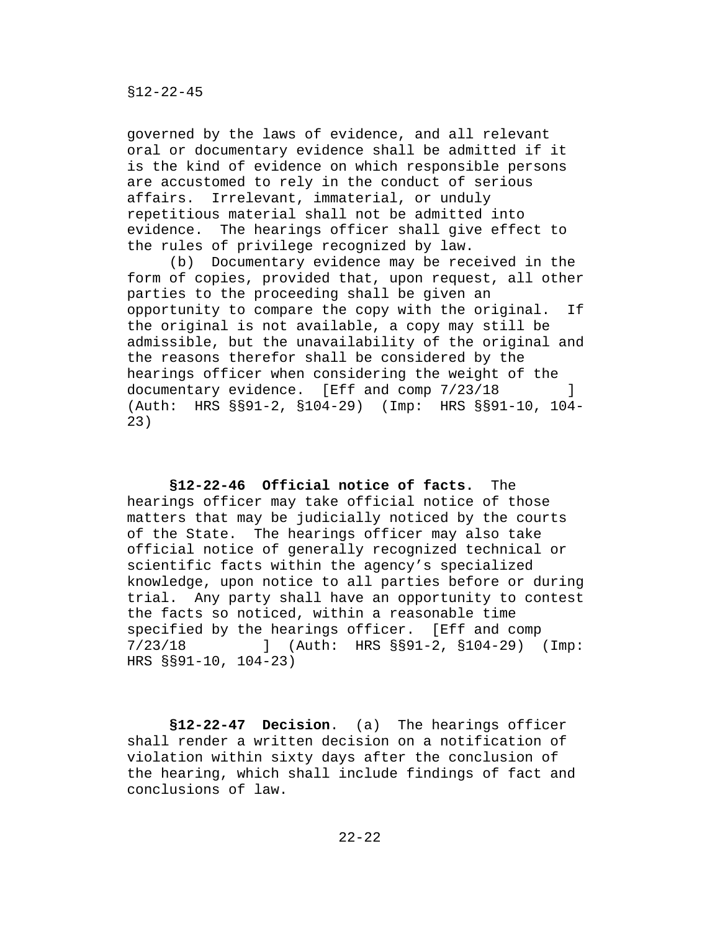governed by the laws of evidence, and all relevant oral or documentary evidence shall be admitted if it is the kind of evidence on which responsible persons are accustomed to rely in the conduct of serious affairs. Irrelevant, immaterial, or unduly repetitious material shall not be admitted into evidence. The hearings officer shall give effect to the rules of privilege recognized by law.

(b) Documentary evidence may be received in the form of copies, provided that, upon request, all other parties to the proceeding shall be given an opportunity to compare the copy with the original. If the original is not available, a copy may still be admissible, but the unavailability of the original and the reasons therefor shall be considered by the hearings officer when considering the weight of the<br>documentary evidence. [Eff and comp 7/23/18] documentary evidence. [Eff and comp  $7/23/18$ (Auth: HRS §§91-2, §104-29) (Imp: HRS §§91-10, 104- 23)

**§12-22-46 Official notice of facts.** The hearings officer may take official notice of those matters that may be judicially noticed by the courts of the State. The hearings officer may also take official notice of generally recognized technical or scientific facts within the agency's specialized knowledge, upon notice to all parties before or during trial. Any party shall have an opportunity to contest the facts so noticed, within a reasonable time specified by the hearings officer. [Eff and comp<br>7/23/18 1 (Auth: HRS \$\$91-2, \$104-29) 7/23/18 ] (Auth: HRS §§91-2, §104-29) (Imp: HRS §§91-10, 104-23)

**§12-22-47 Decision**. (a) The hearings officer shall render a written decision on a notification of violation within sixty days after the conclusion of the hearing, which shall include findings of fact and conclusions of law.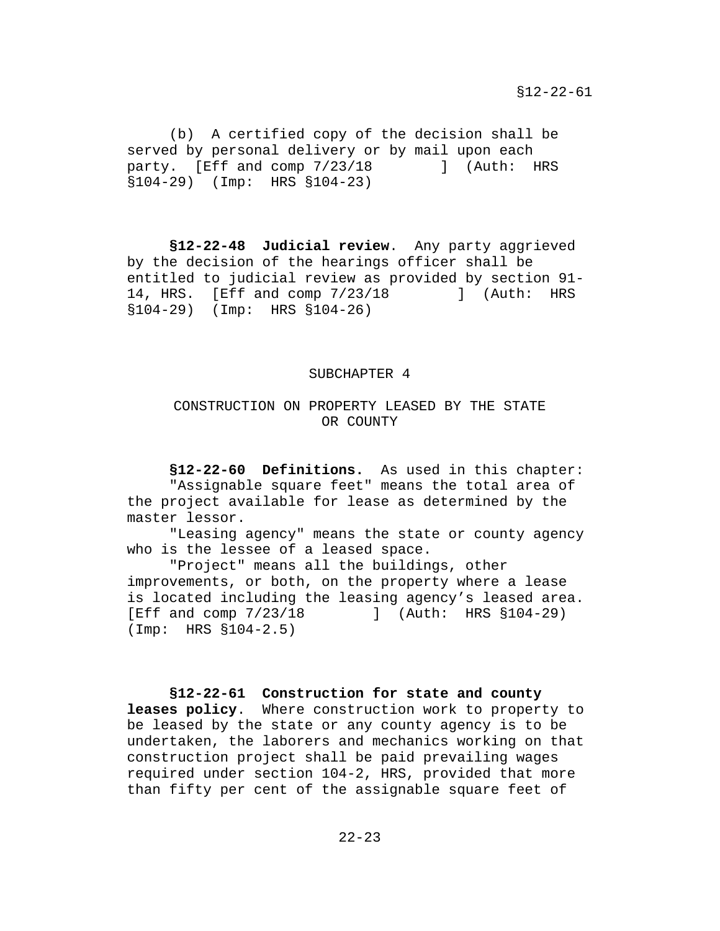(b) A certified copy of the decision shall be served by personal delivery or by mail upon each party. [Eff and comp  $7/23/18$  ] (Auth: HRS §104-29) (Imp: HRS §104-23)

**§12-22-48 Judicial review**. Any party aggrieved by the decision of the hearings officer shall be entitled to judicial review as provided by section 91- 14, HRS. [Eff and comp 7/23/18 ] (Auth: HRS §104-29) (Imp: HRS §104-26)

#### SUBCHAPTER 4

## CONSTRUCTION ON PROPERTY LEASED BY THE STATE OR COUNTY

**§12-22-60 Definitions.** As used in this chapter: "Assignable square feet" means the total area of the project available for lease as determined by the master lessor.

"Leasing agency" means the state or county agency who is the lessee of a leased space.

"Project" means all the buildings, other improvements, or both, on the property where a lease is located including the leasing agency's leased area.<br>[Eff and comp 7/23/18 | (Auth: HRS §104-29) [Eff and comp 7/23/18 ] (Auth: HRS §104-29) (Imp: HRS §104-2.5)

# **§12-22-61 Construction for state and county leases policy**. Where construction work to property to be leased by the state or any county agency is to be undertaken, the laborers and mechanics working on that construction project shall be paid prevailing wages required under section 104-2, HRS, provided that more

than fifty per cent of the assignable square feet of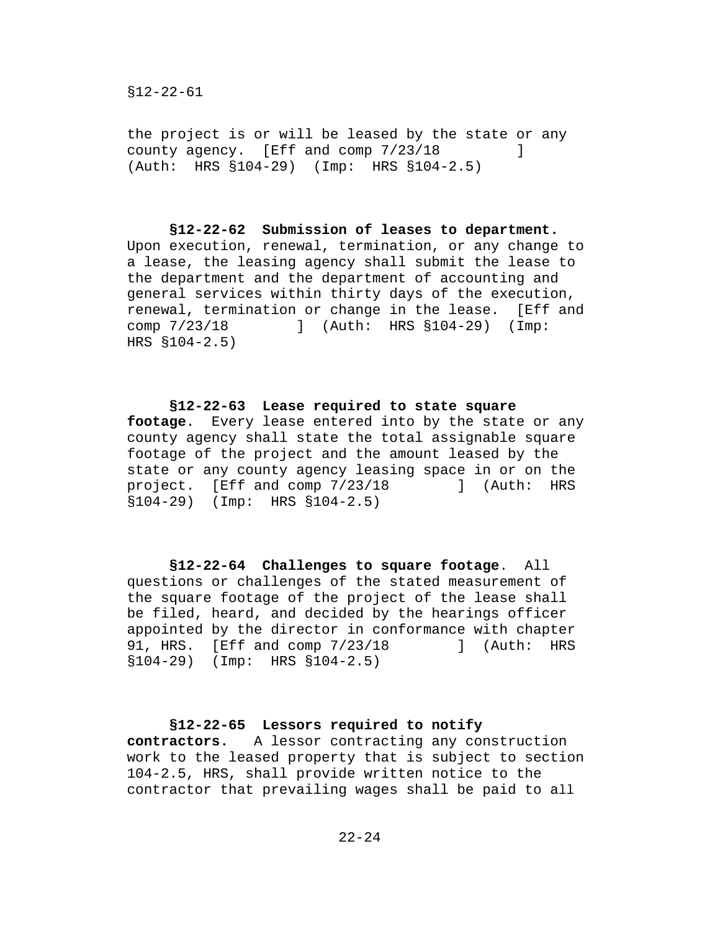the project is or will be leased by the state or any county agency. [Eff and comp  $7/23/18$  ] (Auth: HRS §104-29) (Imp: HRS §104-2.5)

**§12-22-62 Submission of leases to department.**  Upon execution, renewal, termination, or any change to a lease, the leasing agency shall submit the lease to the department and the department of accounting and general services within thirty days of the execution, renewal, termination or change in the lease. [Eff and comp 7/23/18 ] (Auth: HRS §104-29) (Imp: comp 7/23/18 ] (Auth: HRS §104-29) (Imp: HRS §104-2.5)

**§12-22-63 Lease required to state square footage**. Every lease entered into by the state or any county agency shall state the total assignable square footage of the project and the amount leased by the state or any county agency leasing space in or on the<br>project. [Eff and comp 7/23/18 ] (Auth: HRS project.  $[Eff and comp 7/23/18]$ §104-29) (Imp: HRS §104-2.5)

**§12-22-64 Challenges to square footage**. All questions or challenges of the stated measurement of the square footage of the project of the lease shall be filed, heard, and decided by the hearings officer appointed by the director in conformance with chapter<br>91, HRS. [Eff and comp 7/23/18 ] (Auth: HRS 91, HRS. [Eff and comp 7/23/18 §104-29) (Imp: HRS §104-2.5)

## **§12-22-65 Lessors required to notify contractors.** A lessor contracting any construction work to the leased property that is subject to section 104-2.5, HRS, shall provide written notice to the contractor that prevailing wages shall be paid to all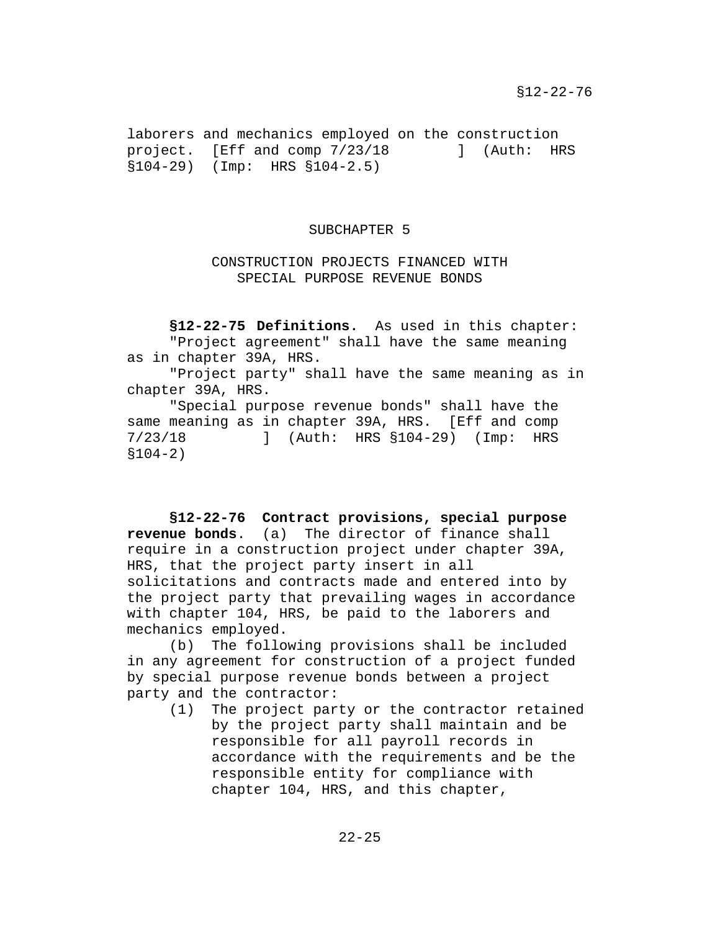laborers and mechanics employed on the construction<br>project. [Eff and comp 7/23/18 ] (Auth: HRS project.  $[Eff and comp 7/23/18]$ §104-29) (Imp: HRS §104-2.5)

### SUBCHAPTER 5

## CONSTRUCTION PROJECTS FINANCED WITH SPECIAL PURPOSE REVENUE BONDS

**§12-22-75 Definitions.** As used in this chapter: "Project agreement" shall have the same meaning as in chapter 39A, HRS.

"Project party" shall have the same meaning as in chapter 39A, HRS.

"Special purpose revenue bonds" shall have the same meaning as in chapter 39A, HRS. [Eff and comp 7/23/18 ] (Auth: HRS §104-29) (Imp: HRS §104-2)

**§12-22-76 Contract provisions, special purpose revenue bonds**. (a) The director of finance shall require in a construction project under chapter 39A, HRS, that the project party insert in all solicitations and contracts made and entered into by the project party that prevailing wages in accordance with chapter 104, HRS, be paid to the laborers and mechanics employed.

(b) The following provisions shall be included in any agreement for construction of a project funded by special purpose revenue bonds between a project party and the contractor:<br>(1) The project par

The project party or the contractor retained by the project party shall maintain and be responsible for all payroll records in accordance with the requirements and be the responsible entity for compliance with chapter 104, HRS, and this chapter,